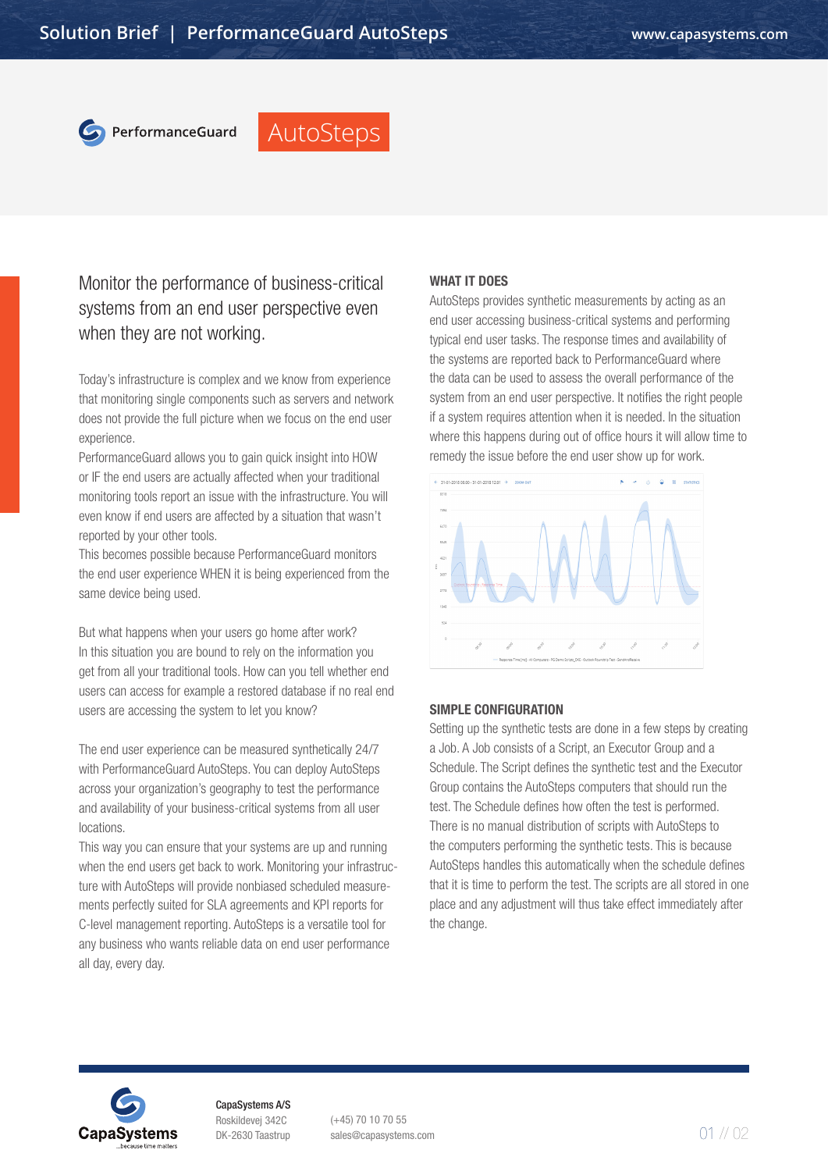



# Monitor the performance of business-critical systems from an end user perspective even when they are not working.

Today's infrastructure is complex and we know from experience that monitoring single components such as servers and network does not provide the full picture when we focus on the end user experience.

PerformanceGuard allows you to gain quick insight into HOW or IF the end users are actually affected when your traditional monitoring tools report an issue with the infrastructure. You will even know if end users are affected by a situation that wasn't reported by your other tools.

This becomes possible because PerformanceGuard monitors the end user experience WHEN it is being experienced from the same device being used.

But what happens when your users go home after work? In this situation you are bound to rely on the information you get from all your traditional tools. How can you tell whether end users can access for example a restored database if no real end users are accessing the system to let you know?

The end user experience can be measured synthetically 24/7 with PerformanceGuard AutoSteps. You can deploy AutoSteps across your organization's geography to test the performance and availability of your business-critical systems from all user locations.

This way you can ensure that your systems are up and running when the end users get back to work. Monitoring your infrastructure with AutoSteps will provide nonbiased scheduled measurements perfectly suited for SLA agreements and KPI reports for C-level management reporting. AutoSteps is a versatile tool for any business who wants reliable data on end user performance all day, every day.

# WHAT IT DOES

AutoSteps provides synthetic measurements by acting as an end user accessing business-critical systems and performing typical end user tasks. The response times and availability of the systems are reported back to PerformanceGuard where the data can be used to assess the overall performance of the system from an end user perspective. It notifies the right people if a system requires attention when it is needed. In the situation where this happens during out of office hours it will allow time to remedy the issue before the end user show up for work.



# SIMPLE CONFIGURATION

Setting up the synthetic tests are done in a few steps by creating a Job. A Job consists of a Script, an Executor Group and a Schedule. The Script defines the synthetic test and the Executor Group contains the AutoSteps computers that should run the test. The Schedule defines how often the test is performed. There is no manual distribution of scripts with AutoSteps to the computers performing the synthetic tests. This is because AutoSteps handles this automatically when the schedule defines that it is time to perform the test. The scripts are all stored in one place and any adjustment will thus take effect immediately after the change.



CapaSystems A/S Roskildevej 342C DK-2630 Taastrup

(+45) 70 10 70 55 sales@capasystems.com